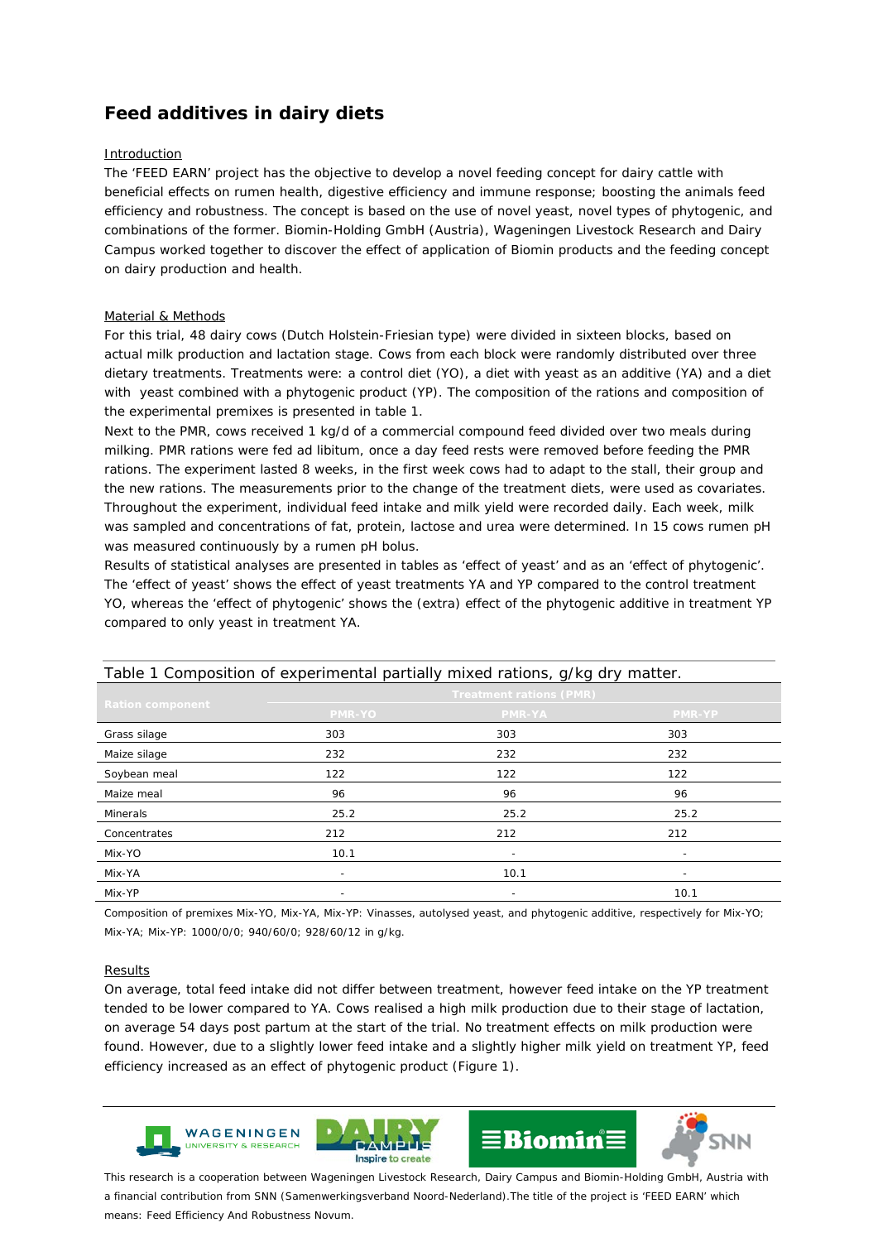# **Feed additives in dairy diets**

# Introduction

The 'FEED EARN' project has the objective to develop a novel feeding concept for dairy cattle with beneficial effects on rumen health, digestive efficiency and immune response; boosting the animals feed efficiency and robustness. The concept is based on the use of novel yeast, novel types of phytogenic, and combinations of the former. Biomin-Holding GmbH (Austria), Wageningen Livestock Research and Dairy Campus worked together to discover the effect of application of Biomin products and the feeding concept on dairy production and health.

# Material & Methods

For this trial, 48 dairy cows (Dutch Holstein-Friesian type) were divided in sixteen blocks, based on actual milk production and lactation stage. Cows from each block were randomly distributed over three dietary treatments. Treatments were: a control diet (YO), a diet with yeast as an additive (YA) and a diet with yeast combined with a phytogenic product (YP). The composition of the rations and composition of the experimental premixes is presented in table 1.

Next to the PMR, cows received 1 kg/d of a commercial compound feed divided over two meals during milking. PMR rations were fed ad libitum, once a day feed rests were removed before feeding the PMR rations. The experiment lasted 8 weeks, in the first week cows had to adapt to the stall, their group and the new rations. The measurements prior to the change of the treatment diets, were used as covariates. Throughout the experiment, individual feed intake and milk yield were recorded daily. Each week, milk was sampled and concentrations of fat, protein, lactose and urea were determined. In 15 cows rumen pH was measured continuously by a rumen pH bolus.

Results of statistical analyses are presented in tables as 'effect of yeast' and as an 'effect of phytogenic'. The 'effect of yeast' shows the effect of yeast treatments YA and YP compared to the control treatment YO, whereas the 'effect of phytogenic' shows the (extra) effect of the phytogenic additive in treatment YP compared to only yeast in treatment YA.

| Table 1 Composition of experimental partially mixed rations, g/kg dry matter. |                                |                          |                          |  |  |  |
|-------------------------------------------------------------------------------|--------------------------------|--------------------------|--------------------------|--|--|--|
| <b>Ration component</b>                                                       | <b>Treatment rations (PMR)</b> |                          |                          |  |  |  |
|                                                                               | PMR-YO                         | <b>PMR-YA</b>            | <b>PMR-YP</b>            |  |  |  |
| Grass silage                                                                  | 303                            | 303                      | 303                      |  |  |  |
| Maize silage                                                                  | 232                            | 232                      | 232                      |  |  |  |
| Soybean meal                                                                  | 122                            | 122                      | 122                      |  |  |  |
| Maize meal                                                                    | 96                             | 96                       | 96                       |  |  |  |
| Minerals                                                                      | 25.2                           | 25.2                     | 25.2                     |  |  |  |
| Concentrates                                                                  | 212                            | 212                      | 212                      |  |  |  |
| Mix-YO                                                                        | 10.1                           | $\overline{\phantom{a}}$ | $\overline{\phantom{0}}$ |  |  |  |
| Mix-YA                                                                        | $\overline{\phantom{0}}$       | 10.1                     | $\overline{\phantom{0}}$ |  |  |  |
| Mix-YP                                                                        |                                |                          | 10.1                     |  |  |  |

Composition of premixes Mix-YO, Mix-YA, Mix-YP: Vinasses, autolysed yeast, and phytogenic additive, respectively for Mix-YO; Mix-YA; Mix-YP: 1000/0/0; 940/60/0; 928/60/12 in g/kg.

### Results

On average, total feed intake did not differ between treatment, however feed intake on the YP treatment tended to be lower compared to YA. Cows realised a high milk production due to their stage of lactation, on average 54 days post partum at the start of the trial. No treatment effects on milk production were found. However, due to a slightly lower feed intake and a slightly higher milk yield on treatment YP, feed efficiency increased as an effect of phytogenic product (Figure 1).



*This research is a cooperation between Wageningen Livestock Research, Dairy Campus and Biomin-Holding GmbH, Austria with a financial contribution from SNN (Samenwerkingsverband Noord-Nederland).The title of the project is 'FEED EARN' which means: Feed Efficiency And Robustness Novum.*